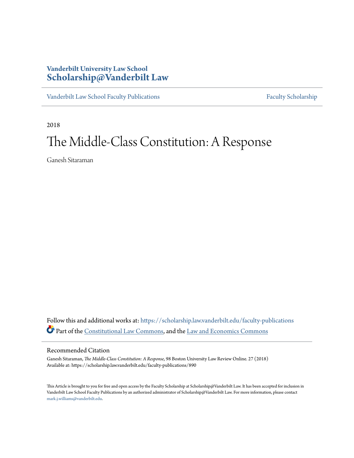# **Vanderbilt University Law School [Scholarship@Vanderbilt Law](https://scholarship.law.vanderbilt.edu?utm_source=scholarship.law.vanderbilt.edu%2Ffaculty-publications%2F890&utm_medium=PDF&utm_campaign=PDFCoverPages)**

[Vanderbilt Law School Faculty Publications](https://scholarship.law.vanderbilt.edu/faculty-publications?utm_source=scholarship.law.vanderbilt.edu%2Ffaculty-publications%2F890&utm_medium=PDF&utm_campaign=PDFCoverPages) [Faculty Scholarship](https://scholarship.law.vanderbilt.edu/faculty-scholarship?utm_source=scholarship.law.vanderbilt.edu%2Ffaculty-publications%2F890&utm_medium=PDF&utm_campaign=PDFCoverPages)

2018

# The Middle-Class Constitution: A Response

Ganesh Sitaraman

Follow this and additional works at: [https://scholarship.law.vanderbilt.edu/faculty-publications](https://scholarship.law.vanderbilt.edu/faculty-publications?utm_source=scholarship.law.vanderbilt.edu%2Ffaculty-publications%2F890&utm_medium=PDF&utm_campaign=PDFCoverPages) Part of the [Constitutional Law Commons,](http://network.bepress.com/hgg/discipline/589?utm_source=scholarship.law.vanderbilt.edu%2Ffaculty-publications%2F890&utm_medium=PDF&utm_campaign=PDFCoverPages) and the [Law and Economics Commons](http://network.bepress.com/hgg/discipline/612?utm_source=scholarship.law.vanderbilt.edu%2Ffaculty-publications%2F890&utm_medium=PDF&utm_campaign=PDFCoverPages)

## Recommended Citation

Ganesh Sitaraman, *The Middle-Class Constitution: A Response*, 98 Boston University Law Review Online. 27 (2018) Available at: https://scholarship.law.vanderbilt.edu/faculty-publications/890

This Article is brought to you for free and open access by the Faculty Scholarship at Scholarship@Vanderbilt Law. It has been accepted for inclusion in Vanderbilt Law School Faculty Publications by an authorized administrator of Scholarship@Vanderbilt Law. For more information, please contact [mark.j.williams@vanderbilt.edu](mailto:mark.j.williams@vanderbilt.edu).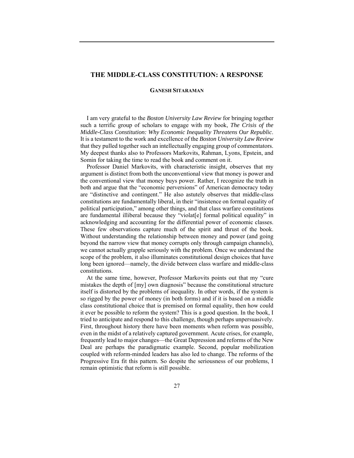### **THE MIDDLE-CLASS CONSTITUTION: A RESPONSE**

#### **GANESH SITARAMAN**

I am very grateful to the *Boston University Law Review* for bringing together such a terrific group of scholars to engage with my book, *The Crisis of the Middle-Class Constitution: Why Economic Inequality Threatens Our Republic*. It is a testament to the work and excellence of the *Boston University Law Review* that they pulled together such an intellectually engaging group of commentators. My deepest thanks also to Professors Markovits, Rahman, Lyons, Epstein, and Somin for taking the time to read the book and comment on it.

Professor Daniel Markovits, with characteristic insight, observes that my argument is distinct from both the unconventional view that money is power and the conventional view that money buys power. Rather, I recognize the truth in both and argue that the "economic perversions" of American democracy today are "distinctive and contingent." He also astutely observes that middle-class constitutions are fundamentally liberal, in their "insistence on formal equality of political participation," among other things, and that class warfare constitutions are fundamental illiberal because they "violat[e] formal political equality" in acknowledging and accounting for the differential power of economic classes. These few observations capture much of the spirit and thrust of the book. Without understanding the relationship between money and power (and going beyond the narrow view that money corrupts only through campaign channels), we cannot actually grapple seriously with the problem. Once we understand the scope of the problem, it also illuminates constitutional design choices that have long been ignored—namely, the divide between class warfare and middle-class constitutions.

At the same time, however, Professor Markovits points out that my "cure mistakes the depth of [my] own diagnosis" because the constitutional structure itself is distorted by the problems of inequality. In other words, if the system is so rigged by the power of money (in both forms) and if it is based on a middle class constitutional choice that is premised on formal equality, then how could it ever be possible to reform the system? This is a good question. In the book, I tried to anticipate and respond to this challenge, though perhaps unpersuasively. First, throughout history there have been moments when reform was possible, even in the midst of a relatively captured government. Acute crises, for example, frequently lead to major changes—the Great Depression and reforms of the New Deal are perhaps the paradigmatic example. Second, popular mobilization coupled with reform-minded leaders has also led to change. The reforms of the Progressive Era fit this pattern. So despite the seriousness of our problems, I remain optimistic that reform is still possible.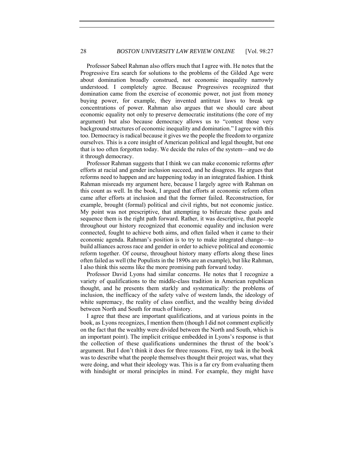Professor Sabeel Rahman also offers much that I agree with. He notes that the Progressive Era search for solutions to the problems of the Gilded Age were about domination broadly construed, not economic inequality narrowly understood. I completely agree. Because Progressives recognized that domination came from the exercise of economic power, not just from money buying power, for example, they invented antitrust laws to break up concentrations of power. Rahman also argues that we should care about economic equality not only to preserve democratic institutions (the core of my argument) but also because democracy allows us to "contest those very background structures of economic inequality and domination." I agree with this too. Democracy is radical because it gives we the people the freedom to organize ourselves. This is a core insight of American political and legal thought, but one that is too often forgotten today. We decide the rules of the system—and we do it through democracy.

Professor Rahman suggests that I think we can make economic reforms *after* efforts at racial and gender inclusion succeed, and he disagrees. He argues that reforms need to happen and are happening today in an integrated fashion. I think Rahman misreads my argument here, because I largely agree with Rahman on this count as well. In the book, I argued that efforts at economic reform often came after efforts at inclusion and that the former failed. Reconstruction, for example, brought (formal) political and civil rights, but not economic justice. My point was not prescriptive, that attempting to bifurcate these goals and sequence them is the right path forward. Rather, it was descriptive, that people throughout our history recognized that economic equality and inclusion were connected, fought to achieve both aims, and often failed when it came to their economic agenda. Rahman's position is to try to make integrated change—to build alliances across race and gender in order to achieve political and economic reform together. Of course, throughout history many efforts along these lines often failed as well (the Populists in the 1890s are an example), but like Rahman, I also think this seems like the more promising path forward today.

Professor David Lyons had similar concerns. He notes that I recognize a variety of qualifications to the middle-class tradition in American republican thought, and he presents them starkly and systematically: the problems of inclusion, the inefficacy of the safety valve of western lands, the ideology of white supremacy, the reality of class conflict, and the wealthy being divided between North and South for much of history.

I agree that these are important qualifications, and at various points in the book, as Lyons recognizes, I mention them (though I did not comment explicitly on the fact that the wealthy were divided between the North and South, which is an important point). The implicit critique embedded in Lyons's response is that the collection of these qualifications undermines the thrust of the book's argument. But I don't think it does for three reasons. First, my task in the book was to describe what the people themselves thought their project was, what they were doing, and what their ideology was. This is a far cry from evaluating them with hindsight or moral principles in mind. For example, they might have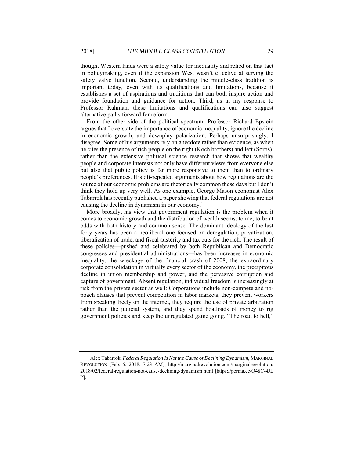thought Western lands were a safety value for inequality and relied on that fact in policymaking, even if the expansion West wasn't effective at serving the safety valve function. Second, understanding the middle-class tradition is important today, even with its qualifications and limitations, because it establishes a set of aspirations and traditions that can both inspire action and provide foundation and guidance for action. Third, as in my response to Professor Rahman, these limitations and qualifications can also suggest alternative paths forward for reform.

From the other side of the political spectrum, Professor Richard Epstein argues that I overstate the importance of economic inequality, ignore the decline in economic growth, and downplay polarization. Perhaps unsurprisingly, I disagree. Some of his arguments rely on anecdote rather than evidence, as when he cites the presence of rich people on the right (Koch brothers) and left (Soros), rather than the extensive political science research that shows that wealthy people and corporate interests not only have different views from everyone else but also that public policy is far more responsive to them than to ordinary people's preferences. His oft-repeated arguments about how regulations are the source of our economic problems are rhetorically common these days but I don't think they hold up very well. As one example, George Mason economist Alex Tabarrok has recently published a paper showing that federal regulations are not causing the decline in dynamism in our economy.1

More broadly, his view that government regulation is the problem when it comes to economic growth and the distribution of wealth seems, to me, to be at odds with both history and common sense. The dominant ideology of the last forty years has been a neoliberal one focused on deregulation, privatization, liberalization of trade, and fiscal austerity and tax cuts for the rich. The result of these policies—pushed and celebrated by both Republican and Democratic congresses and presidential administrations—has been increases in economic inequality, the wreckage of the financial crash of 2008, the extraordinary corporate consolidation in virtually every sector of the economy, the precipitous decline in union membership and power, and the pervasive corruption and capture of government. Absent regulation, individual freedom is increasingly at risk from the private sector as well: Corporations include non-compete and nopoach clauses that prevent competition in labor markets, they prevent workers from speaking freely on the internet, they require the use of private arbitration rather than the judicial system, and they spend boatloads of money to rig government policies and keep the unregulated game going. "The road to hell,"

<sup>1</sup> Alex Tabarrok, *Federal Regulation Is Not the Cause of Declining Dynamism*, MARGINAL REVOLUTION (Feb. 5, 2018, 7:23 AM), http://marginalrevolution.com/marginalrevolution/ 2018/02/federal-regulation-not-cause-declining-dynamism.html [https://perma.cc/Q48C-4JL P].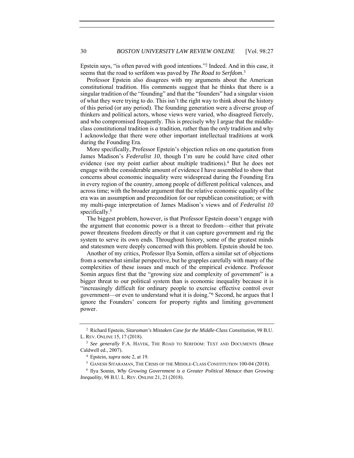Epstein says, "is often paved with good intentions."2 Indeed. And in this case, it seems that the road to serfdom was paved by *The Road to Serfdom*. 3

Professor Epstein also disagrees with my arguments about the American constitutional tradition. His comments suggest that he thinks that there is a singular tradition of the "founding" and that the "founders" had a singular vision of what they were trying to do. This isn't the right way to think about the history of this period (or any period). The founding generation were a diverse group of thinkers and political actors, whose views were varied, who disagreed fiercely, and who compromised frequently. This is precisely why I argue that the middleclass constitutional tradition is *a* tradition, rather than the *only* tradition and why I acknowledge that there were other important intellectual traditions at work during the Founding Era.

More specifically, Professor Epstein's objection relies on one quotation from James Madison's *Federalist 10*, though I'm sure he could have cited other evidence (see my point earlier about multiple traditions).4 But he does not engage with the considerable amount of evidence I have assembled to show that concerns about economic inequality were widespread during the Founding Era in every region of the country, among people of different political valences, and across time; with the broader argument that the relative economic equality of the era was an assumption and precondition for our republican constitution; or with my multi-page interpretation of James Madison's views and of *Federalist 10* specifically.<sup>5</sup>

The biggest problem, however, is that Professor Epstein doesn't engage with the argument that economic power is a threat to freedom—either that private power threatens freedom directly or that it can capture government and rig the system to serve its own ends. Throughout history, some of the greatest minds and statesmen were deeply concerned with this problem. Epstein should be too.

Another of my critics, Professor Ilya Somin, offers a similar set of objections from a somewhat similar perspective, but he grapples carefully with many of the complexities of these issues and much of the empirical evidence. Professor Somin argues first that the "growing size and complexity of government" is a bigger threat to our political system than is economic inequality because it is "increasingly difficult for ordinary people to exercise effective control over government—or even to understand what it is doing."6 Second, he argues that I ignore the Founders' concern for property rights and limiting government power.

<sup>2</sup> Richard Epstein, *Sitaraman's Mistaken Case for the Middle-Class Constitution*, 98 B.U. L. REV. ONLINE 15, 17 (2018).

<sup>3</sup> *See generally* F.A. HAYEK, THE ROAD TO SERFDOM: TEXT AND DOCUMENTS (Bruce Caldwell ed., 2007).

<sup>4</sup> Epstein, *supra* note 2, at 19.

<sup>5</sup> GANESH SITARAMAN, THE CRISIS OF THE MIDDLE-CLASS CONSTITUTION 100-04 (2018).

<sup>6</sup> Ilya Somin, *Why Growing Government is a Greater Political Menace than Growing Inequality*, 98 B.U. L. REV. ONLINE 21, 21 (2018).